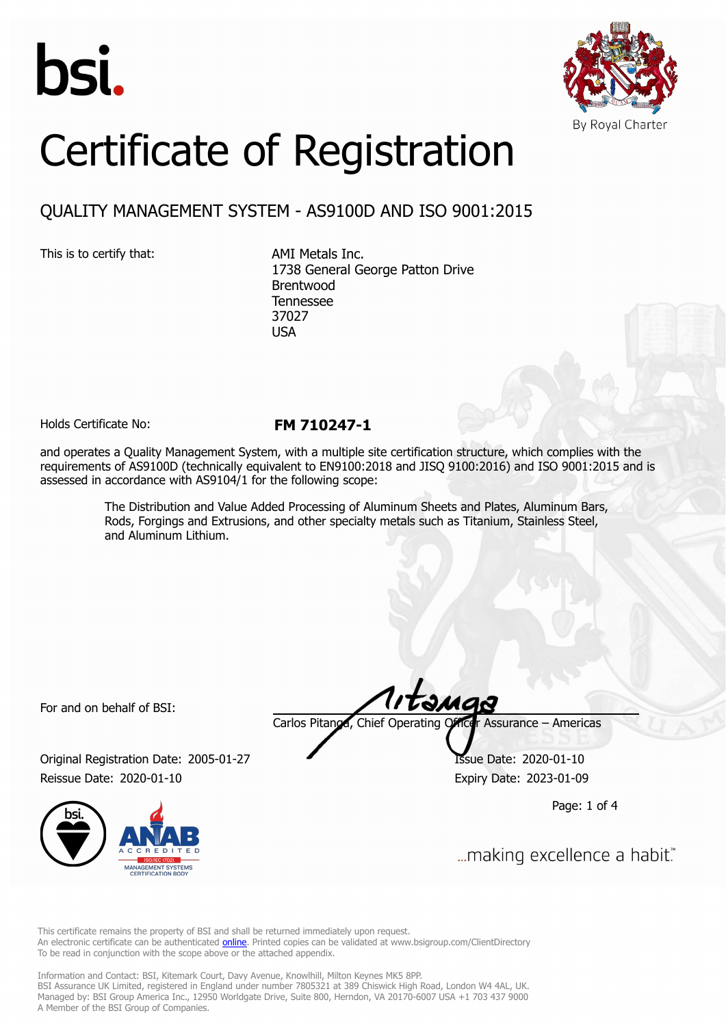



# Certificate of Registration

# QUALITY MANAGEMENT SYSTEM - AS9100D AND ISO 9001:2015

This is to certify that: AMI Metals Inc.

1738 General George Patton Drive Brentwood Tennessee 37027 **USA** 

Holds Certificate No: **FM 710247-1**

and operates a Quality Management System, with a multiple site certification structure, which complies with the requirements of AS9100D (technically equivalent to EN9100:2018 and JISQ 9100:2016) and ISO 9001:2015 and is assessed in accordance with AS9104/1 for the following scope:

> The Distribution and Value Added Processing of Aluminum Sheets and Plates, Aluminum Bars, Rods, Forgings and Extrusions, and other specialty metals such as Titanium, Stainless Steel, and Aluminum Lithium.

For and on behalf of BSI:

Original Registration Date: 2005-01-27 Issue Date: 2020-01-10 Reissue Date: 2020-01-10 **Expiry Date: 2023-01-09** 



tanga

Carlos Pitanga, Chief Operating Officer Assurance – Americas

Page: 1 of 4

... making excellence a habit."

This certificate remains the property of BSI and shall be returned immediately upon request. An electronic certificate can be authenticated **[online](https://pgplus.bsigroup.com/CertificateValidation/CertificateValidator.aspx?CertificateNumber=FM+710247-1&ReIssueDate=10%2f01%2f2020&Template=inc)**. Printed copies can be validated at www.bsigroup.com/ClientDirectory To be read in conjunction with the scope above or the attached appendix.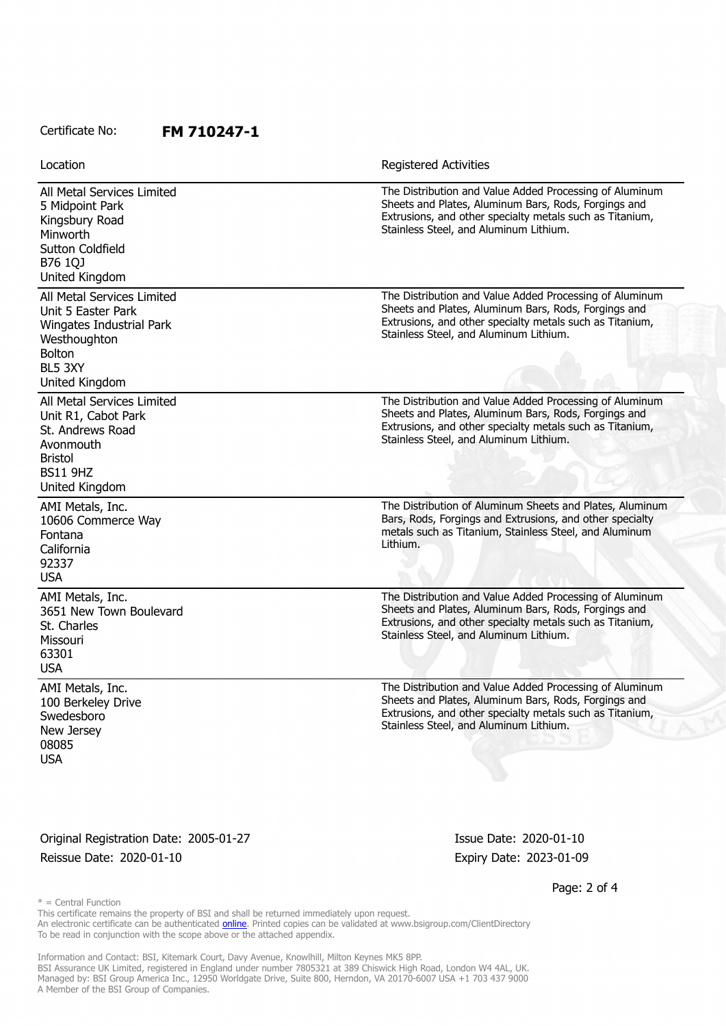### Certificate No: **FM 710247-1**

| Location                                                                                                                                   | <b>Registered Activities</b>                                                                                                                                                                                          |
|--------------------------------------------------------------------------------------------------------------------------------------------|-----------------------------------------------------------------------------------------------------------------------------------------------------------------------------------------------------------------------|
| All Metal Services Limited<br>5 Midpoint Park<br>Kingsbury Road<br>Minworth<br><b>Sutton Coldfield</b><br>B76 1QJ<br>United Kingdom        | The Distribution and Value Added Processing of Aluminum<br>Sheets and Plates, Aluminum Bars, Rods, Forgings and<br>Extrusions, and other specialty metals such as Titanium,<br>Stainless Steel, and Aluminum Lithium. |
| All Metal Services Limited<br>Unit 5 Easter Park<br>Wingates Industrial Park<br>Westhoughton<br><b>Bolton</b><br>BL5 3XY<br>United Kingdom | The Distribution and Value Added Processing of Aluminum<br>Sheets and Plates, Aluminum Bars, Rods, Forgings and<br>Extrusions, and other specialty metals such as Titanium,<br>Stainless Steel, and Aluminum Lithium. |
| All Metal Services Limited<br>Unit R1, Cabot Park<br>St. Andrews Road<br>Avonmouth<br><b>Bristol</b><br><b>BS11 9HZ</b><br>United Kingdom  | The Distribution and Value Added Processing of Aluminum<br>Sheets and Plates, Aluminum Bars, Rods, Forgings and<br>Extrusions, and other specialty metals such as Titanium,<br>Stainless Steel, and Aluminum Lithium. |
| AMI Metals, Inc.<br>10606 Commerce Way<br>Fontana<br>California<br>92337<br><b>USA</b>                                                     | The Distribution of Aluminum Sheets and Plates, Aluminum<br>Bars, Rods, Forgings and Extrusions, and other specialty<br>metals such as Titanium, Stainless Steel, and Aluminum<br>Lithium.                            |
| AMI Metals, Inc.<br>3651 New Town Boulevard<br>St. Charles<br>Missouri<br>63301<br><b>USA</b>                                              | The Distribution and Value Added Processing of Aluminum<br>Sheets and Plates, Aluminum Bars, Rods, Forgings and<br>Extrusions, and other specialty metals such as Titanium,<br>Stainless Steel, and Aluminum Lithium. |
| AMI Metals, Inc.<br>100 Berkeley Drive<br>Swedesboro<br>New Jersey<br>08085<br><b>USA</b>                                                  | The Distribution and Value Added Processing of Aluminum<br>Sheets and Plates, Aluminum Bars, Rods, Forgings and<br>Extrusions, and other specialty metals such as Titanium,<br>Stainless Steel, and Aluminum Lithium. |

Original Registration Date: 2005-01-27 Issue Date: 2020-01-10 Reissue Date: 2020-01-10 **Expiry Date: 2023-01-09** 

Page: 2 of 4

 $*$  = Central Function

This certificate remains the property of BSI and shall be returned immediately upon request. An electronic certificate can be authenticated *[online](https://pgplus.bsigroup.com/CertificateValidation/CertificateValidator.aspx?CertificateNumber=FM+710247-1&ReIssueDate=10%2f01%2f2020&Template=inc)*. Printed copies can be validated at www.bsigroup.com/ClientDirectory To be read in conjunction with the scope above or the attached appendix.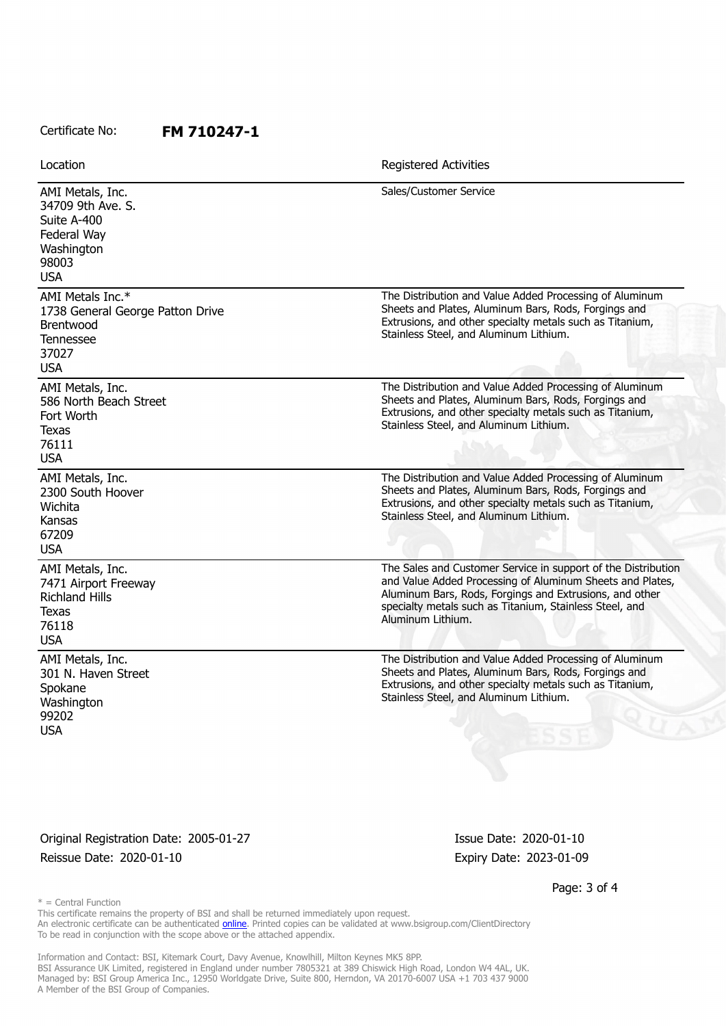## Certificate No: **FM 710247-1**

| Location                                                                                                 | Registered Activities                                                                                                                                                                                                                                                 |
|----------------------------------------------------------------------------------------------------------|-----------------------------------------------------------------------------------------------------------------------------------------------------------------------------------------------------------------------------------------------------------------------|
| AMI Metals, Inc.<br>34709 9th Ave. S.<br>Suite A-400<br>Federal Way<br>Washington<br>98003<br><b>USA</b> | Sales/Customer Service                                                                                                                                                                                                                                                |
| AMI Metals Inc.*<br>1738 General George Patton Drive<br>Brentwood<br>Tennessee<br>37027<br><b>USA</b>    | The Distribution and Value Added Processing of Aluminum<br>Sheets and Plates, Aluminum Bars, Rods, Forgings and<br>Extrusions, and other specialty metals such as Titanium,<br>Stainless Steel, and Aluminum Lithium.                                                 |
| AMI Metals, Inc.<br>586 North Beach Street<br>Fort Worth<br>Texas<br>76111<br><b>USA</b>                 | The Distribution and Value Added Processing of Aluminum<br>Sheets and Plates, Aluminum Bars, Rods, Forgings and<br>Extrusions, and other specialty metals such as Titanium,<br>Stainless Steel, and Aluminum Lithium.                                                 |
| AMI Metals, Inc.<br>2300 South Hoover<br>Wichita<br>Kansas<br>67209<br><b>USA</b>                        | The Distribution and Value Added Processing of Aluminum<br>Sheets and Plates, Aluminum Bars, Rods, Forgings and<br>Extrusions, and other specialty metals such as Titanium,<br>Stainless Steel, and Aluminum Lithium.                                                 |
| AMI Metals, Inc.<br>7471 Airport Freeway<br><b>Richland Hills</b><br>Texas<br>76118<br><b>USA</b>        | The Sales and Customer Service in support of the Distribution<br>and Value Added Processing of Aluminum Sheets and Plates,<br>Aluminum Bars, Rods, Forgings and Extrusions, and other<br>specialty metals such as Titanium, Stainless Steel, and<br>Aluminum Lithium. |
| AMI Metals, Inc.<br>301 N. Haven Street<br>Spokane<br>Washington<br>99202<br>USA                         | The Distribution and Value Added Processing of Aluminum<br>Sheets and Plates, Aluminum Bars, Rods, Forgings and<br>Extrusions, and other specialty metals such as Titanium,<br>Stainless Steel, and Aluminum Lithium.                                                 |

Original Registration Date: 2005-01-27 Issue Date: 2020-01-10 Reissue Date: 2020-01-10 **Expiry Date: 2023-01-09** 

Page: 3 of 4

 $*$  = Central Function

This certificate remains the property of BSI and shall be returned immediately upon request. An electronic certificate can be authenticated *[online](https://pgplus.bsigroup.com/CertificateValidation/CertificateValidator.aspx?CertificateNumber=FM+710247-1&ReIssueDate=10%2f01%2f2020&Template=inc)*. Printed copies can be validated at www.bsigroup.com/ClientDirectory To be read in conjunction with the scope above or the attached appendix.